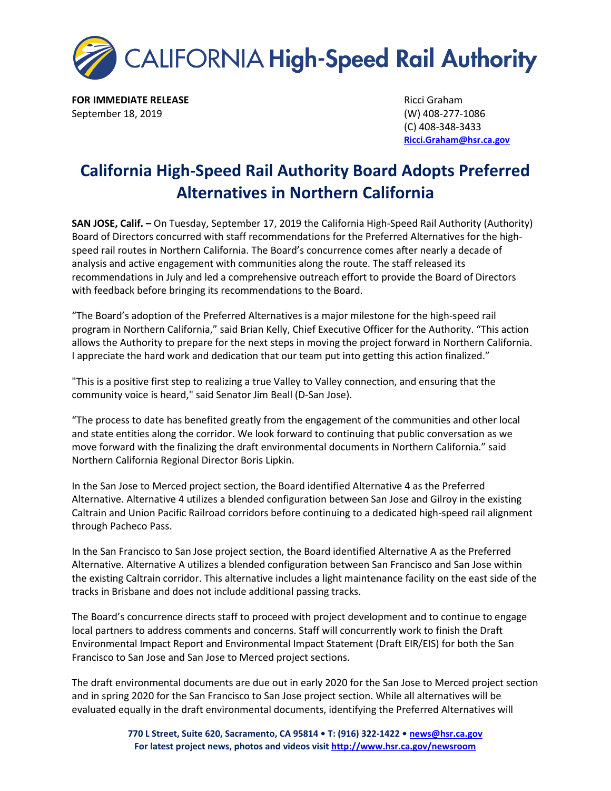

**FOR IMMEDIATE RELEASE** September 18, 2019

Ricci Graham (W) 408-277-1086 (C) 408-348-3433 **Ricci.Graham@hsr.ca.gov**

## **California High-Speed Rail Authority Board Adopts Preferred Alternatives in Northern California**

**SAN JOSE, Calif. –** On Tuesday, September 17, 2019 the California High-Speed Rail Authority (Authority) Board of Directors concurred with staff recommendations for the Preferred Alternatives for the highspeed rail routes in Northern California. The Board's concurrence comes after nearly a decade of analysis and active engagement with communities along the route. The staff released its recommendations in July and led a comprehensive outreach effort to provide the Board of Directors with feedback before bringing its recommendations to the Board.

"The Board's adoption of the Preferred Alternatives is a major milestone for the high-speed rail program in Northern California," said Brian Kelly, Chief Executive Officer for the Authority. "This action allows the Authority to prepare for the next steps in moving the project forward in Northern California. I appreciate the hard work and dedication that our team put into getting this action finalized."

"This is a positive first step to realizing a true Valley to Valley connection, and ensuring that the community voice is heard," said Senator Jim Beall (D-San Jose).

"The process to date has benefited greatly from the engagement of the communities and other local and state entities along the corridor. We look forward to continuing that public conversation as we move forward with the finalizing the draft environmental documents in Northern California." said Northern California Regional Director Boris Lipkin.

In the San Jose to Merced project section, the Board identified Alternative 4 as the Preferred Alternative. Alternative 4 utilizes a blended configuration between San Jose and Gilroy in the existing Caltrain and Union Pacific Railroad corridors before continuing to a dedicated high-speed rail alignment through Pacheco Pass.

In the San Francisco to San Jose project section, the Board identified Alternative A as the Preferred Alternative. Alternative A utilizes a blended configuration between San Francisco and San Jose within the existing Caltrain corridor. This alternative includes a light maintenance facility on the east side of the tracks in Brisbane and does not include additional passing tracks.

The Board's concurrence directs staff to proceed with project development and to continue to engage local partners to address comments and concerns. Staff will concurrently work to finish the Draft Environmental Impact Report and Environmental Impact Statement (Draft EIR/EIS) for both the San Francisco to San Jose and San Jose to Merced project sections.

The draft environmental documents are due out in early 2020 for the San Jose to Merced project section and in spring 2020 for the San Francisco to San Jose project section. While all alternatives will be evaluated equally in the draft environmental documents, identifying the Preferred Alternatives will